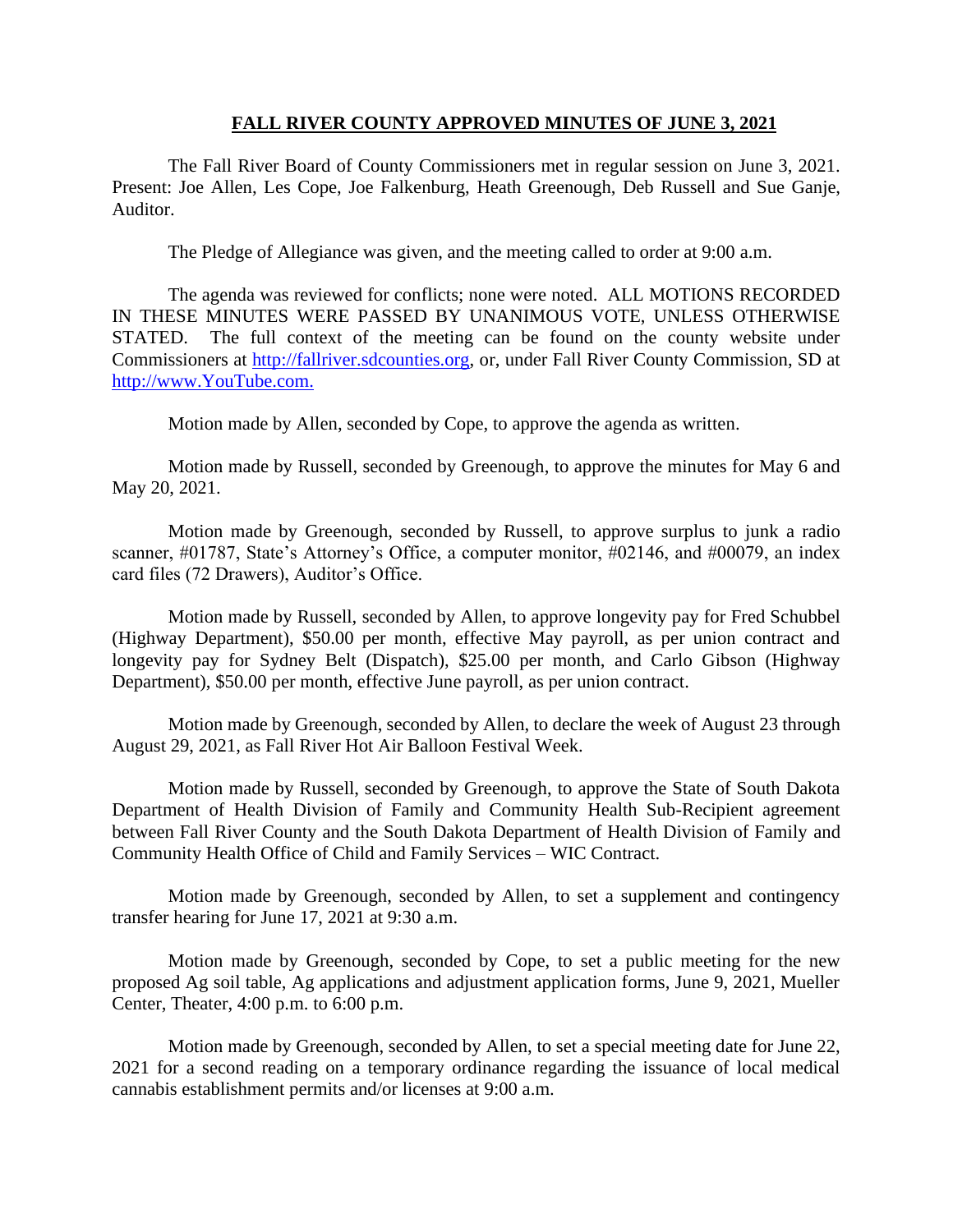### **FALL RIVER COUNTY APPROVED MINUTES OF JUNE 3, 2021**

The Fall River Board of County Commissioners met in regular session on June 3, 2021. Present: Joe Allen, Les Cope, Joe Falkenburg, Heath Greenough, Deb Russell and Sue Ganje, Auditor.

The Pledge of Allegiance was given, and the meeting called to order at 9:00 a.m.

The agenda was reviewed for conflicts; none were noted. ALL MOTIONS RECORDED IN THESE MINUTES WERE PASSED BY UNANIMOUS VOTE, UNLESS OTHERWISE STATED. The full context of the meeting can be found on the county website under Commissioners at [http://fallriver.sdcounties.org,](http://fallriver.sdcounties.org/) or, under Fall River County Commission, SD at [http://www.YouTube.com.](http://www.youtube.com/)

Motion made by Allen, seconded by Cope, to approve the agenda as written.

Motion made by Russell, seconded by Greenough, to approve the minutes for May 6 and May 20, 2021.

Motion made by Greenough, seconded by Russell, to approve surplus to junk a radio scanner, #01787, State's Attorney's Office, a computer monitor, #02146, and #00079, an index card files (72 Drawers), Auditor's Office.

Motion made by Russell, seconded by Allen, to approve longevity pay for Fred Schubbel (Highway Department), \$50.00 per month, effective May payroll, as per union contract and longevity pay for Sydney Belt (Dispatch), \$25.00 per month, and Carlo Gibson (Highway Department), \$50.00 per month, effective June payroll, as per union contract.

Motion made by Greenough, seconded by Allen, to declare the week of August 23 through August 29, 2021, as Fall River Hot Air Balloon Festival Week.

Motion made by Russell, seconded by Greenough, to approve the State of South Dakota Department of Health Division of Family and Community Health Sub-Recipient agreement between Fall River County and the South Dakota Department of Health Division of Family and Community Health Office of Child and Family Services – WIC Contract.

Motion made by Greenough, seconded by Allen, to set a supplement and contingency transfer hearing for June 17, 2021 at 9:30 a.m.

Motion made by Greenough, seconded by Cope, to set a public meeting for the new proposed Ag soil table, Ag applications and adjustment application forms, June 9, 2021, Mueller Center, Theater, 4:00 p.m. to 6:00 p.m.

Motion made by Greenough, seconded by Allen, to set a special meeting date for June 22, 2021 for a second reading on a temporary ordinance regarding the issuance of local medical cannabis establishment permits and/or licenses at 9:00 a.m.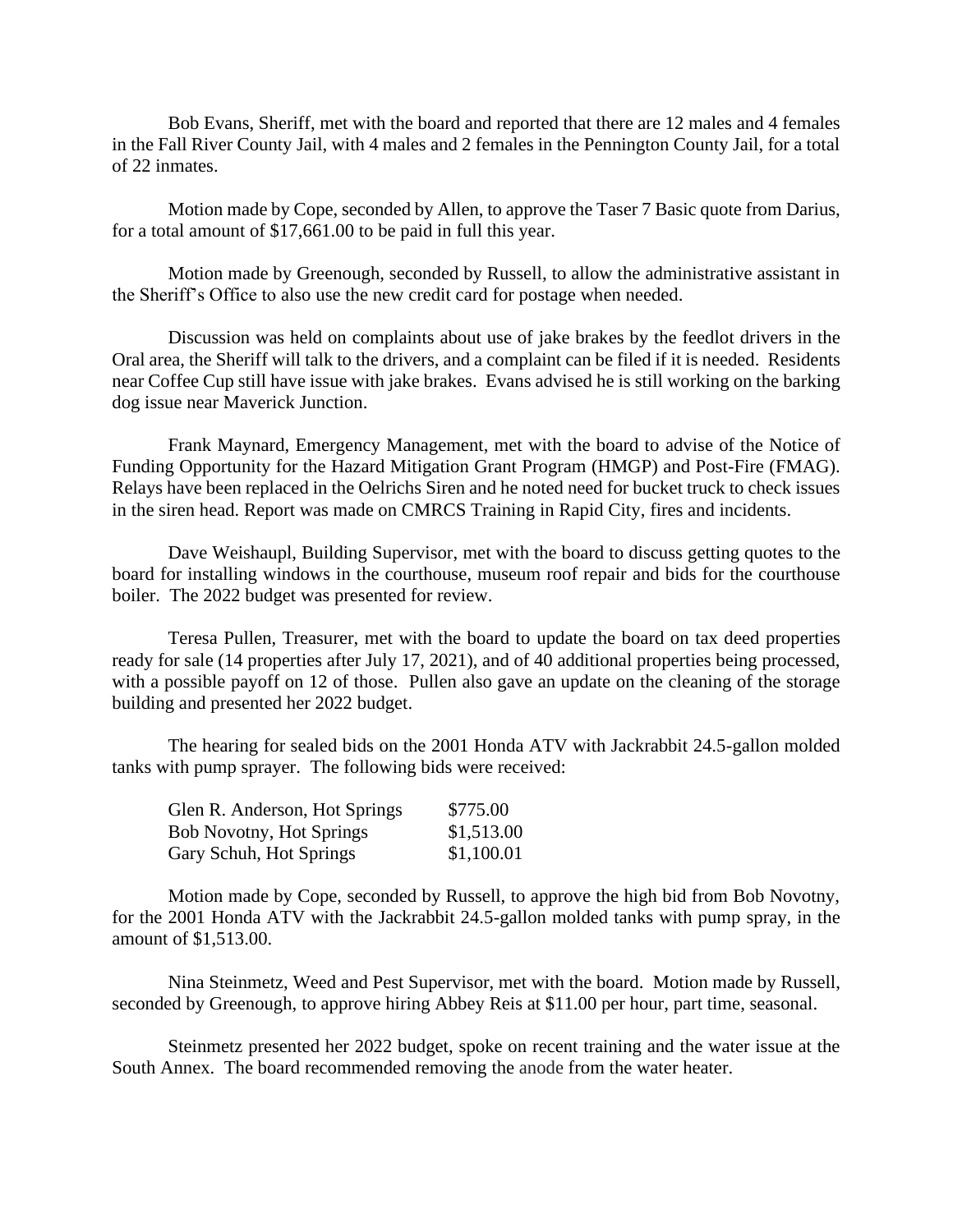Bob Evans, Sheriff, met with the board and reported that there are 12 males and 4 females in the Fall River County Jail, with 4 males and 2 females in the Pennington County Jail, for a total of 22 inmates.

Motion made by Cope, seconded by Allen, to approve the Taser 7 Basic quote from Darius, for a total amount of \$17,661.00 to be paid in full this year.

Motion made by Greenough, seconded by Russell, to allow the administrative assistant in the Sheriff's Office to also use the new credit card for postage when needed.

Discussion was held on complaints about use of jake brakes by the feedlot drivers in the Oral area, the Sheriff will talk to the drivers, and a complaint can be filed if it is needed. Residents near Coffee Cup still have issue with jake brakes. Evans advised he is still working on the barking dog issue near Maverick Junction.

Frank Maynard, Emergency Management, met with the board to advise of the Notice of Funding Opportunity for the Hazard Mitigation Grant Program (HMGP) and Post-Fire (FMAG). Relays have been replaced in the Oelrichs Siren and he noted need for bucket truck to check issues in the siren head. Report was made on CMRCS Training in Rapid City, fires and incidents.

Dave Weishaupl, Building Supervisor, met with the board to discuss getting quotes to the board for installing windows in the courthouse, museum roof repair and bids for the courthouse boiler. The 2022 budget was presented for review.

Teresa Pullen, Treasurer, met with the board to update the board on tax deed properties ready for sale (14 properties after July 17, 2021), and of 40 additional properties being processed, with a possible payoff on 12 of those. Pullen also gave an update on the cleaning of the storage building and presented her 2022 budget.

The hearing for sealed bids on the 2001 Honda ATV with Jackrabbit 24.5-gallon molded tanks with pump sprayer. The following bids were received:

| Glen R. Anderson, Hot Springs   | \$775.00   |
|---------------------------------|------------|
| <b>Bob Novotny, Hot Springs</b> | \$1,513.00 |
| Gary Schuh, Hot Springs         | \$1,100.01 |

Motion made by Cope, seconded by Russell, to approve the high bid from Bob Novotny, for the 2001 Honda ATV with the Jackrabbit 24.5-gallon molded tanks with pump spray, in the amount of \$1,513.00.

Nina Steinmetz, Weed and Pest Supervisor, met with the board. Motion made by Russell, seconded by Greenough, to approve hiring Abbey Reis at \$11.00 per hour, part time, seasonal.

Steinmetz presented her 2022 budget, spoke on recent training and the water issue at the South Annex. The board recommended removing the anode from the water heater.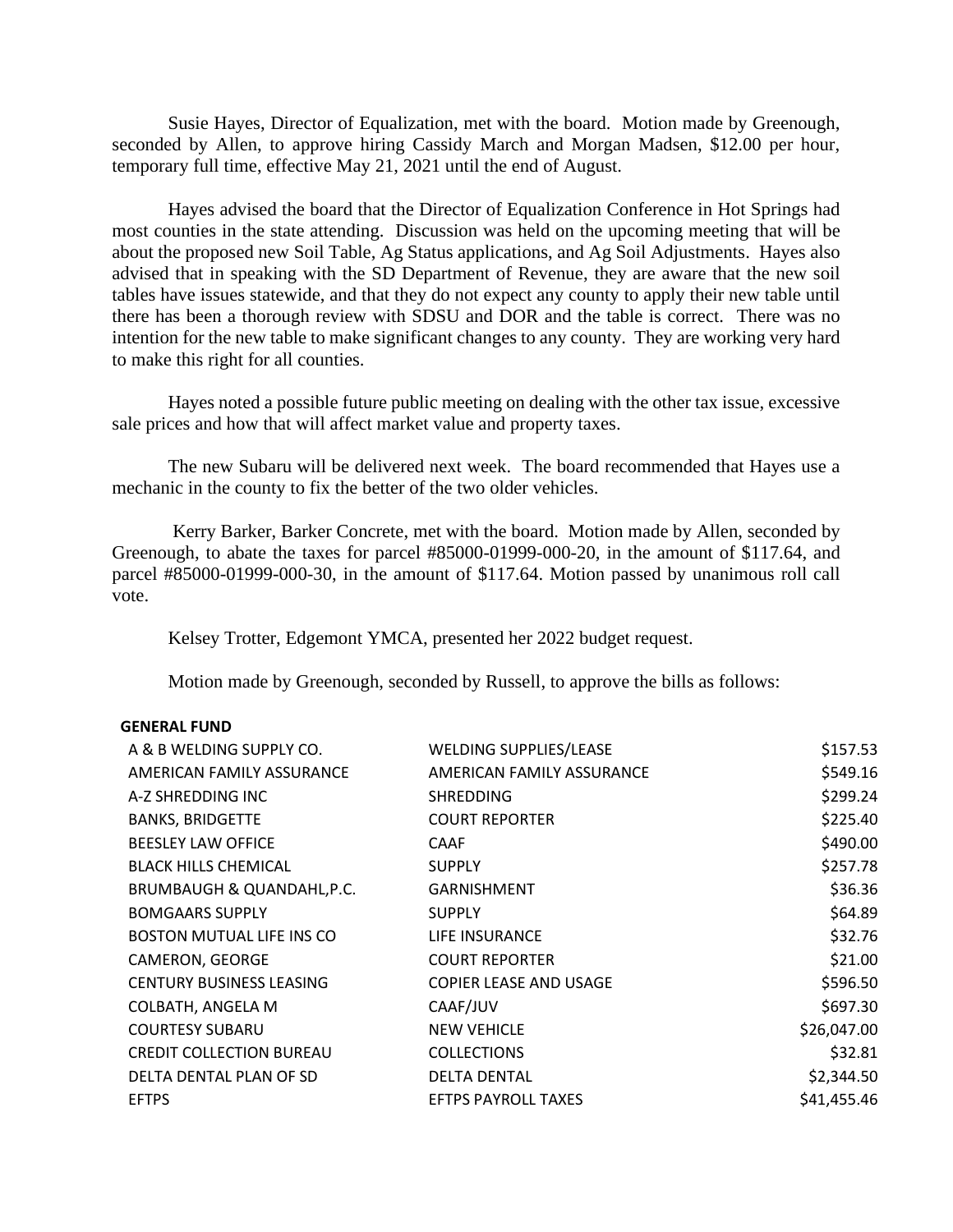Susie Hayes, Director of Equalization, met with the board. Motion made by Greenough, seconded by Allen, to approve hiring Cassidy March and Morgan Madsen, \$12.00 per hour, temporary full time, effective May 21, 2021 until the end of August.

Hayes advised the board that the Director of Equalization Conference in Hot Springs had most counties in the state attending. Discussion was held on the upcoming meeting that will be about the proposed new Soil Table, Ag Status applications, and Ag Soil Adjustments. Hayes also advised that in speaking with the SD Department of Revenue, they are aware that the new soil tables have issues statewide, and that they do not expect any county to apply their new table until there has been a thorough review with SDSU and DOR and the table is correct. There was no intention for the new table to make significant changes to any county. They are working very hard to make this right for all counties.

Hayes noted a possible future public meeting on dealing with the other tax issue, excessive sale prices and how that will affect market value and property taxes.

The new Subaru will be delivered next week. The board recommended that Hayes use a mechanic in the county to fix the better of the two older vehicles.

Kerry Barker, Barker Concrete, met with the board. Motion made by Allen, seconded by Greenough, to abate the taxes for parcel #85000-01999-000-20, in the amount of \$117.64, and parcel #85000-01999-000-30, in the amount of \$117.64. Motion passed by unanimous roll call vote.

Kelsey Trotter, Edgemont YMCA, presented her 2022 budget request.

Motion made by Greenough, seconded by Russell, to approve the bills as follows:

### **GENERAL FUND**

| A & B WELDING SUPPLY CO.        | <b>WELDING SUPPLIES/LEASE</b> | \$157.53    |
|---------------------------------|-------------------------------|-------------|
| AMERICAN FAMILY ASSURANCE       | AMERICAN FAMILY ASSURANCE     | \$549.16    |
| A-Z SHREDDING INC               | <b>SHREDDING</b>              | \$299.24    |
| <b>BANKS, BRIDGETTE</b>         | <b>COURT REPORTER</b>         | \$225.40    |
| <b>BEESLEY LAW OFFICE</b>       | <b>CAAF</b>                   | \$490.00    |
| <b>BLACK HILLS CHEMICAL</b>     | <b>SUPPLY</b>                 | \$257.78    |
| BRUMBAUGH & QUANDAHL, P.C.      | <b>GARNISHMENT</b>            | \$36.36     |
| <b>BOMGAARS SUPPLY</b>          | <b>SUPPLY</b>                 | \$64.89     |
| BOSTON MUTUAL LIFE INS CO       | LIFE INSURANCE                | \$32.76     |
| CAMERON, GEORGE                 | <b>COURT REPORTER</b>         | \$21.00     |
| <b>CENTURY BUSINESS LEASING</b> | <b>COPIER LEASE AND USAGE</b> | \$596.50    |
| COLBATH, ANGELA M               | CAAF/JUV                      | \$697.30    |
| <b>COURTESY SUBARU</b>          | <b>NEW VEHICLE</b>            | \$26,047.00 |
| <b>CREDIT COLLECTION BUREAU</b> | <b>COLLECTIONS</b>            | \$32.81     |
| DELTA DENTAL PLAN OF SD         | <b>DELTA DENTAL</b>           | \$2,344.50  |
| <b>EFTPS</b>                    | <b>EFTPS PAYROLL TAXES</b>    | \$41,455.46 |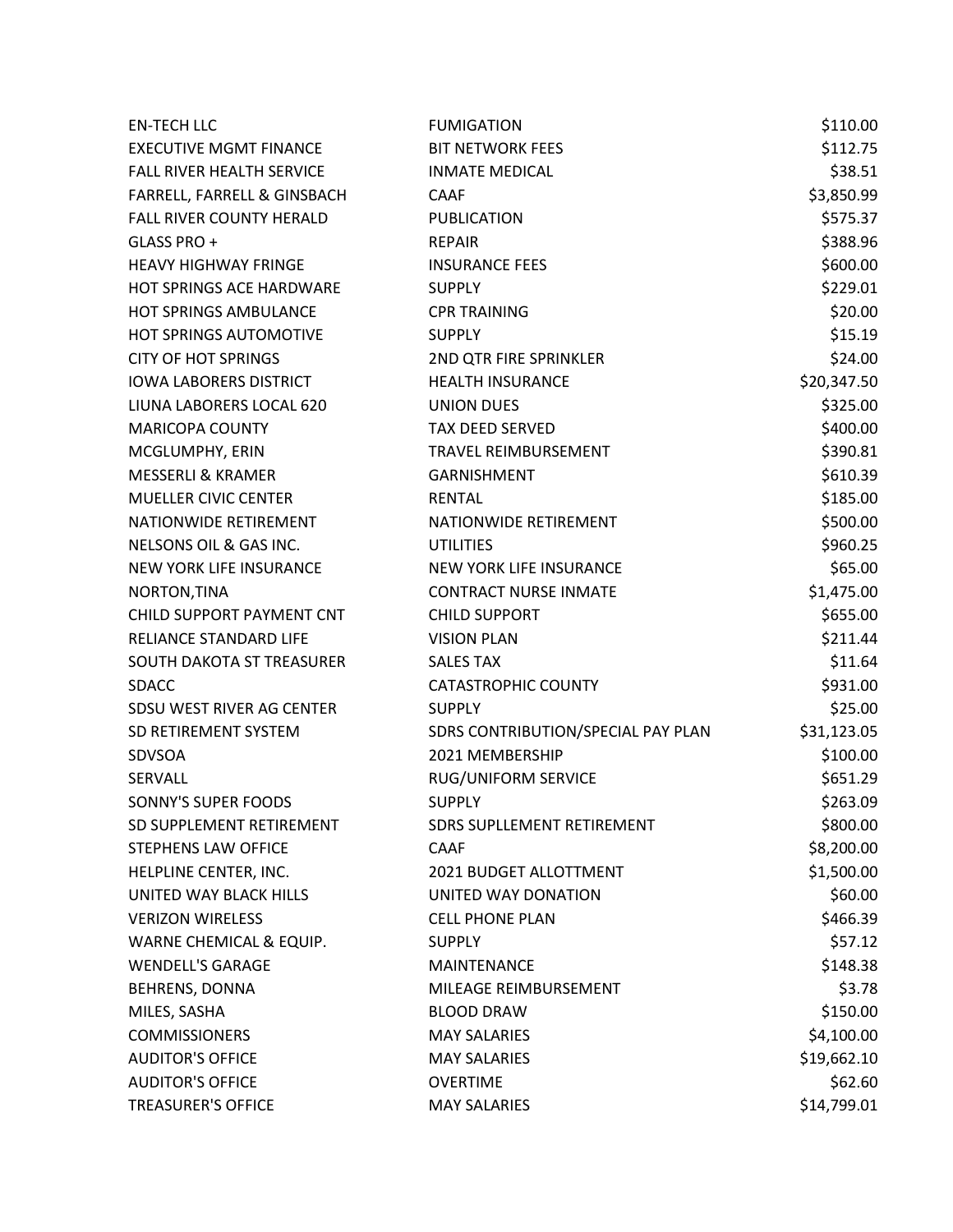| <b>EN-TECH LLC</b>            | <b>FUMIGATION</b>                  | \$110.00    |
|-------------------------------|------------------------------------|-------------|
| <b>EXECUTIVE MGMT FINANCE</b> | <b>BIT NETWORK FEES</b>            | \$112.75    |
| FALL RIVER HEALTH SERVICE     | <b>INMATE MEDICAL</b>              | \$38.51     |
| FARRELL, FARRELL & GINSBACH   | <b>CAAF</b>                        | \$3,850.99  |
| FALL RIVER COUNTY HERALD      | PUBLICATION                        | \$575.37    |
| GLASS PRO +                   | <b>REPAIR</b>                      | \$388.96    |
| <b>HEAVY HIGHWAY FRINGE</b>   | <b>INSURANCE FEES</b>              | \$600.00    |
| HOT SPRINGS ACE HARDWARE      | <b>SUPPLY</b>                      | \$229.01    |
| <b>HOT SPRINGS AMBULANCE</b>  | <b>CPR TRAINING</b>                | \$20.00     |
| HOT SPRINGS AUTOMOTIVE        | <b>SUPPLY</b>                      | \$15.19     |
| <b>CITY OF HOT SPRINGS</b>    | 2ND QTR FIRE SPRINKLER             | \$24.00     |
| <b>IOWA LABORERS DISTRICT</b> | <b>HEALTH INSURANCE</b>            | \$20,347.50 |
| LIUNA LABORERS LOCAL 620      | <b>UNION DUES</b>                  | \$325.00    |
| <b>MARICOPA COUNTY</b>        | <b>TAX DEED SERVED</b>             | \$400.00    |
| MCGLUMPHY, ERIN               | TRAVEL REIMBURSEMENT               | \$390.81    |
| <b>MESSERLI &amp; KRAMER</b>  | <b>GARNISHMENT</b>                 | \$610.39    |
| <b>MUELLER CIVIC CENTER</b>   | <b>RENTAL</b>                      | \$185.00    |
| NATIONWIDE RETIREMENT         | NATIONWIDE RETIREMENT              | \$500.00    |
| NELSONS OIL & GAS INC.        | <b>UTILITIES</b>                   | \$960.25    |
| NEW YORK LIFE INSURANCE       | <b>NEW YORK LIFE INSURANCE</b>     | \$65.00     |
| NORTON, TINA                  | <b>CONTRACT NURSE INMATE</b>       | \$1,475.00  |
| CHILD SUPPORT PAYMENT CNT     | <b>CHILD SUPPORT</b>               | \$655.00    |
| RELIANCE STANDARD LIFE        | <b>VISION PLAN</b>                 | \$211.44    |
| SOUTH DAKOTA ST TREASURER     | <b>SALES TAX</b>                   | \$11.64     |
| <b>SDACC</b>                  | <b>CATASTROPHIC COUNTY</b>         | \$931.00    |
| SDSU WEST RIVER AG CENTER     | <b>SUPPLY</b>                      | \$25.00     |
| SD RETIREMENT SYSTEM          | SDRS CONTRIBUTION/SPECIAL PAY PLAN | \$31,123.05 |
| SDVSOA                        | 2021 MEMBERSHIP                    | \$100.00    |
| SERVALL                       | <b>RUG/UNIFORM SERVICE</b>         | \$651.29    |
| SONNY'S SUPER FOODS           | <b>SUPPLY</b>                      | \$263.09    |
| SD SUPPLEMENT RETIREMENT      | SDRS SUPLLEMENT RETIREMENT         | \$800.00    |
| STEPHENS LAW OFFICE           | <b>CAAF</b>                        | \$8,200.00  |
| HELPLINE CENTER, INC.         | 2021 BUDGET ALLOTTMENT             | \$1,500.00  |
| UNITED WAY BLACK HILLS        | UNITED WAY DONATION                | \$60.00     |
| <b>VERIZON WIRELESS</b>       | <b>CELL PHONE PLAN</b>             | \$466.39    |
| WARNE CHEMICAL & EQUIP.       | <b>SUPPLY</b>                      | \$57.12     |
| <b>WENDELL'S GARAGE</b>       | MAINTENANCE                        | \$148.38    |
| BEHRENS, DONNA                | MILEAGE REIMBURSEMENT              | \$3.78      |
| MILES, SASHA                  | <b>BLOOD DRAW</b>                  | \$150.00    |
| <b>COMMISSIONERS</b>          | <b>MAY SALARIES</b>                | \$4,100.00  |
| <b>AUDITOR'S OFFICE</b>       | <b>MAY SALARIES</b>                | \$19,662.10 |
| <b>AUDITOR'S OFFICE</b>       | <b>OVERTIME</b>                    | \$62.60     |
| <b>TREASURER'S OFFICE</b>     | <b>MAY SALARIES</b>                | \$14,799.01 |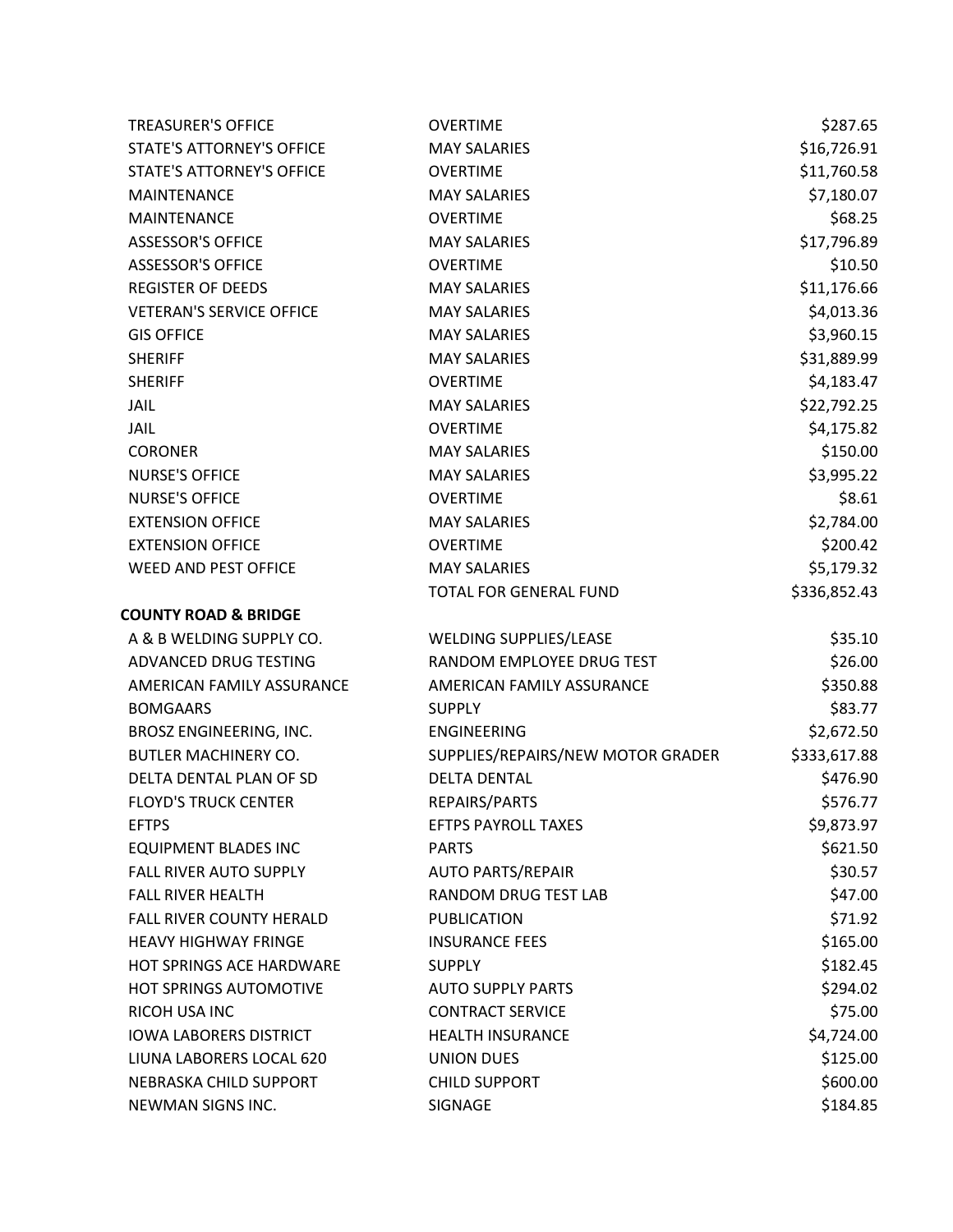| <b>TREASURER'S OFFICE</b>        | <b>OVERTIME</b>                   | \$287.65     |
|----------------------------------|-----------------------------------|--------------|
| <b>STATE'S ATTORNEY'S OFFICE</b> | <b>MAY SALARIES</b>               | \$16,726.91  |
| <b>STATE'S ATTORNEY'S OFFICE</b> | <b>OVERTIME</b>                   | \$11,760.58  |
| <b>MAINTENANCE</b>               | <b>MAY SALARIES</b>               | \$7,180.07   |
| <b>MAINTENANCE</b>               | <b>OVERTIME</b>                   | \$68.25      |
| <b>ASSESSOR'S OFFICE</b>         | <b>MAY SALARIES</b>               | \$17,796.89  |
| <b>ASSESSOR'S OFFICE</b>         | <b>OVERTIME</b>                   | \$10.50      |
| <b>REGISTER OF DEEDS</b>         | <b>MAY SALARIES</b>               | \$11,176.66  |
| <b>VETERAN'S SERVICE OFFICE</b>  | <b>MAY SALARIES</b>               | \$4,013.36   |
| <b>GIS OFFICE</b>                | <b>MAY SALARIES</b>               | \$3,960.15   |
| <b>SHERIFF</b>                   | <b>MAY SALARIES</b>               | \$31,889.99  |
| <b>SHERIFF</b>                   | <b>OVERTIME</b>                   | \$4,183.47   |
| JAIL                             | <b>MAY SALARIES</b>               | \$22,792.25  |
| JAIL                             | <b>OVERTIME</b>                   | \$4,175.82   |
| <b>CORONER</b>                   | <b>MAY SALARIES</b>               | \$150.00     |
| <b>NURSE'S OFFICE</b>            | <b>MAY SALARIES</b>               | \$3,995.22   |
| <b>NURSE'S OFFICE</b>            | <b>OVERTIME</b>                   | \$8.61       |
| <b>EXTENSION OFFICE</b>          | <b>MAY SALARIES</b>               | \$2,784.00   |
| <b>EXTENSION OFFICE</b>          | <b>OVERTIME</b>                   | \$200.42     |
| WEED AND PEST OFFICE             | <b>MAY SALARIES</b>               | \$5,179.32   |
|                                  | TOTAL FOR GENERAL FUND            | \$336,852.43 |
| <b>COUNTY ROAD &amp; BRIDGE</b>  |                                   |              |
| A & B WELDING SUPPLY CO.         | WELDING SUPPLIES/LEASE            | \$35.10      |
| ADVANCED DRUG TESTING            | RANDOM EMPLOYEE DRUG TEST         | \$26.00      |
| AMERICAN FAMILY ASSURANCE        | AMERICAN FAMILY ASSURANCE         | \$350.88     |
| <b>BOMGAARS</b>                  | <b>SUPPLY</b>                     | \$83.77      |
| BROSZ ENGINEERING, INC.          | <b>ENGINEERING</b>                | \$2,672.50   |
| <b>BUTLER MACHINERY CO.</b>      | SUPPLIES/REPAIRS/NEW MOTOR GRADER | \$333,617.88 |
| DELTA DENTAL PLAN OF SD          | <b>DELTA DENTAL</b>               | \$476.90     |
| <b>FLOYD'S TRUCK CENTER</b>      | REPAIRS/PARTS                     | \$576.77     |
| <b>EFTPS</b>                     | <b>EFTPS PAYROLL TAXES</b>        | \$9,873.97   |
| <b>EQUIPMENT BLADES INC</b>      | <b>PARTS</b>                      | \$621.50     |
| <b>FALL RIVER AUTO SUPPLY</b>    | <b>AUTO PARTS/REPAIR</b>          | \$30.57      |
| <b>FALL RIVER HEALTH</b>         | <b>RANDOM DRUG TEST LAB</b>       | \$47.00      |
| <b>FALL RIVER COUNTY HERALD</b>  | <b>PUBLICATION</b>                | \$71.92      |
| <b>HEAVY HIGHWAY FRINGE</b>      | <b>INSURANCE FEES</b>             | \$165.00     |
| HOT SPRINGS ACE HARDWARE         | <b>SUPPLY</b>                     | \$182.45     |
| <b>HOT SPRINGS AUTOMOTIVE</b>    | <b>AUTO SUPPLY PARTS</b>          | \$294.02     |
| <b>RICOH USA INC</b>             | <b>CONTRACT SERVICE</b>           | \$75.00      |
| <b>IOWA LABORERS DISTRICT</b>    | <b>HEALTH INSURANCE</b>           | \$4,724.00   |
| LIUNA LABORERS LOCAL 620         | <b>UNION DUES</b>                 | \$125.00     |
| NEBRASKA CHILD SUPPORT           | <b>CHILD SUPPORT</b>              | \$600.00     |
| NEWMAN SIGNS INC.                | SIGNAGE                           | \$184.85     |
|                                  |                                   |              |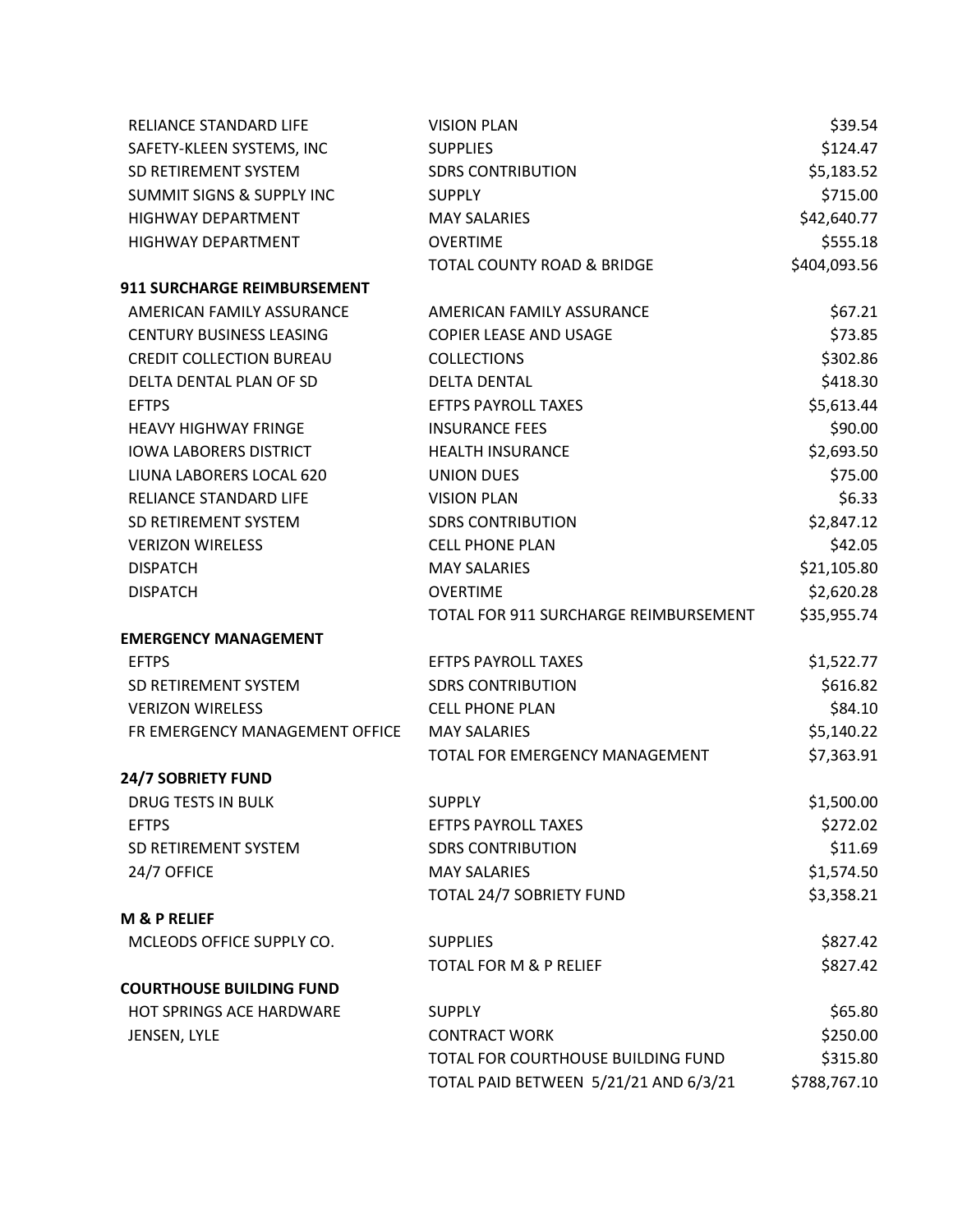| RELIANCE STANDARD LIFE               | <b>VISION PLAN</b>                    | \$39.54      |
|--------------------------------------|---------------------------------------|--------------|
| SAFETY-KLEEN SYSTEMS, INC            | <b>SUPPLIES</b>                       | \$124.47     |
| SD RETIREMENT SYSTEM                 | <b>SDRS CONTRIBUTION</b>              | \$5,183.52   |
| <b>SUMMIT SIGNS &amp; SUPPLY INC</b> | <b>SUPPLY</b>                         | \$715.00     |
| <b>HIGHWAY DEPARTMENT</b>            | <b>MAY SALARIES</b>                   | \$42,640.77  |
| <b>HIGHWAY DEPARTMENT</b>            | <b>OVERTIME</b>                       | \$555.18     |
|                                      | <b>TOTAL COUNTY ROAD &amp; BRIDGE</b> | \$404,093.56 |
| 911 SURCHARGE REIMBURSEMENT          |                                       |              |
| AMERICAN FAMILY ASSURANCE            | AMERICAN FAMILY ASSURANCE             | \$67.21      |
| <b>CENTURY BUSINESS LEASING</b>      | <b>COPIER LEASE AND USAGE</b>         | \$73.85      |
| <b>CREDIT COLLECTION BUREAU</b>      | <b>COLLECTIONS</b>                    | \$302.86     |
| DELTA DENTAL PLAN OF SD              | <b>DELTA DENTAL</b>                   | \$418.30     |
| <b>EFTPS</b>                         | <b>EFTPS PAYROLL TAXES</b>            | \$5,613.44   |
| <b>HEAVY HIGHWAY FRINGE</b>          | <b>INSURANCE FEES</b>                 | \$90.00      |
| <b>IOWA LABORERS DISTRICT</b>        | <b>HEALTH INSURANCE</b>               | \$2,693.50   |
| LIUNA LABORERS LOCAL 620             | <b>UNION DUES</b>                     | \$75.00      |
| RELIANCE STANDARD LIFE               | <b>VISION PLAN</b>                    | \$6.33       |
| SD RETIREMENT SYSTEM                 | <b>SDRS CONTRIBUTION</b>              | \$2,847.12   |
| <b>VERIZON WIRELESS</b>              | <b>CELL PHONE PLAN</b>                | \$42.05      |
| <b>DISPATCH</b>                      | <b>MAY SALARIES</b>                   | \$21,105.80  |
| <b>DISPATCH</b>                      | <b>OVERTIME</b>                       | \$2,620.28   |
|                                      | TOTAL FOR 911 SURCHARGE REIMBURSEMENT | \$35,955.74  |
| <b>EMERGENCY MANAGEMENT</b>          |                                       |              |
| <b>EFTPS</b>                         | <b>EFTPS PAYROLL TAXES</b>            | \$1,522.77   |
| SD RETIREMENT SYSTEM                 | <b>SDRS CONTRIBUTION</b>              | \$616.82     |
| <b>VERIZON WIRELESS</b>              | <b>CELL PHONE PLAN</b>                | \$84.10      |
| FR EMERGENCY MANAGEMENT OFFICE       | <b>MAY SALARIES</b>                   | \$5,140.22   |
|                                      | TOTAL FOR EMERGENCY MANAGEMENT        | \$7,363.91   |
| <b>24/7 SOBRIETY FUND</b>            |                                       |              |
| <b>DRUG TESTS IN BULK</b>            | <b>SUPPLY</b>                         | \$1,500.00   |
| <b>EFTPS</b>                         | <b>EFTPS PAYROLL TAXES</b>            | \$272.02     |
| SD RETIREMENT SYSTEM                 | <b>SDRS CONTRIBUTION</b>              | \$11.69      |
| 24/7 OFFICE                          | <b>MAY SALARIES</b>                   | \$1,574.50   |
|                                      | TOTAL 24/7 SOBRIETY FUND              | \$3,358.21   |
| <b>M &amp; P RELIEF</b>              |                                       |              |
| MCLEODS OFFICE SUPPLY CO.            | <b>SUPPLIES</b>                       | \$827.42     |
|                                      | <b>TOTAL FOR M &amp; P RELIEF</b>     | \$827.42     |
| <b>COURTHOUSE BUILDING FUND</b>      |                                       |              |
| HOT SPRINGS ACE HARDWARE             | <b>SUPPLY</b>                         | \$65.80      |
| JENSEN, LYLE                         | <b>CONTRACT WORK</b>                  | \$250.00     |
|                                      | TOTAL FOR COURTHOUSE BUILDING FUND    | \$315.80     |
|                                      | TOTAL PAID BETWEEN 5/21/21 AND 6/3/21 | \$788,767.10 |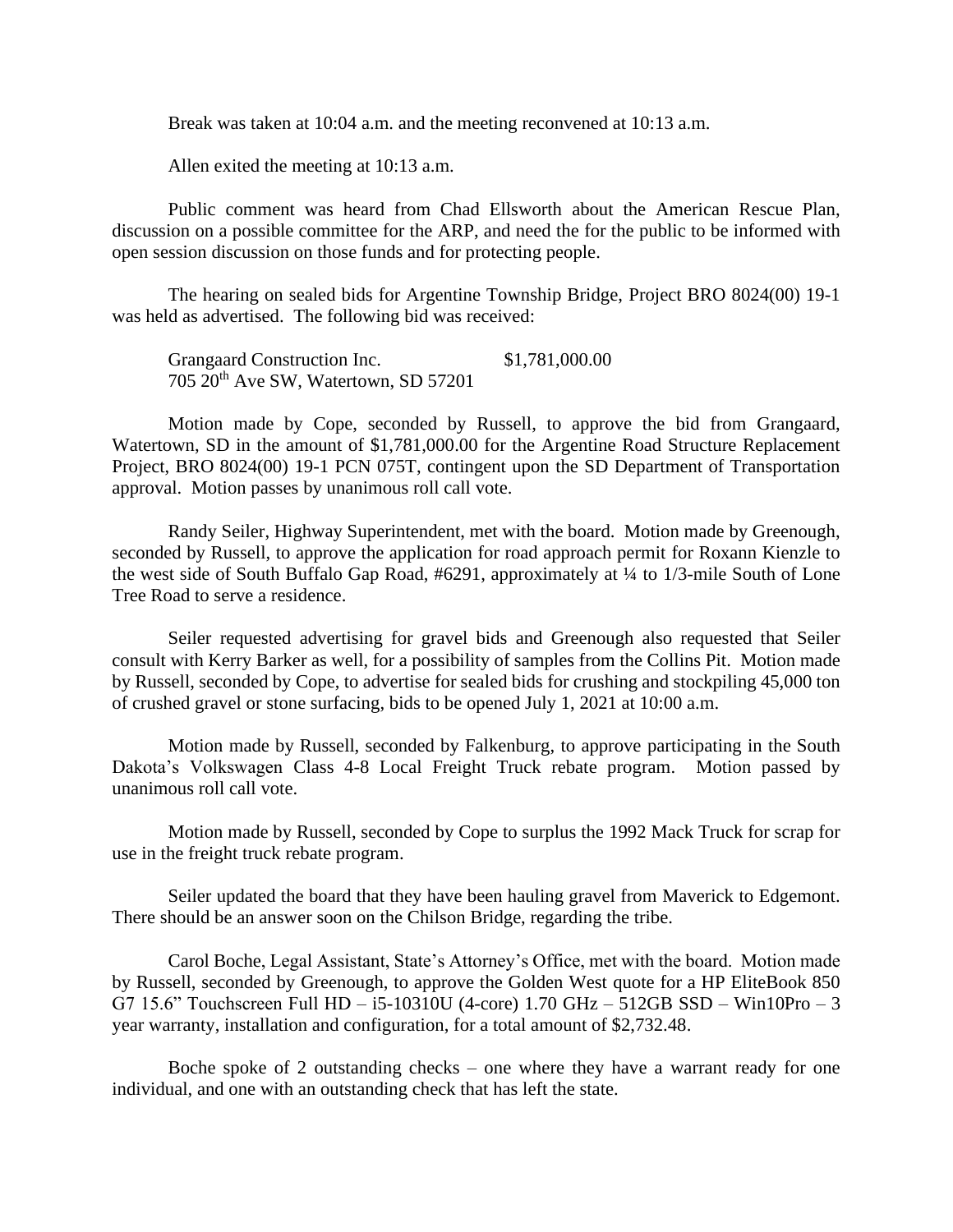Break was taken at 10:04 a.m. and the meeting reconvened at 10:13 a.m.

Allen exited the meeting at 10:13 a.m.

Public comment was heard from Chad Ellsworth about the American Rescue Plan, discussion on a possible committee for the ARP, and need the for the public to be informed with open session discussion on those funds and for protecting people.

The hearing on sealed bids for Argentine Township Bridge, Project BRO 8024(00) 19-1 was held as advertised. The following bid was received:

Grangaard Construction Inc.  $$1,781,000.00$ 705 20th Ave SW, Watertown, SD 57201

Motion made by Cope, seconded by Russell, to approve the bid from Grangaard, Watertown, SD in the amount of \$1,781,000.00 for the Argentine Road Structure Replacement Project, BRO 8024(00) 19-1 PCN 075T, contingent upon the SD Department of Transportation approval. Motion passes by unanimous roll call vote.

Randy Seiler, Highway Superintendent, met with the board. Motion made by Greenough, seconded by Russell, to approve the application for road approach permit for Roxann Kienzle to the west side of South Buffalo Gap Road, #6291, approximately at ¼ to 1/3-mile South of Lone Tree Road to serve a residence.

Seiler requested advertising for gravel bids and Greenough also requested that Seiler consult with Kerry Barker as well, for a possibility of samples from the Collins Pit. Motion made by Russell, seconded by Cope, to advertise for sealed bids for crushing and stockpiling 45,000 ton of crushed gravel or stone surfacing, bids to be opened July 1, 2021 at 10:00 a.m.

Motion made by Russell, seconded by Falkenburg, to approve participating in the South Dakota's Volkswagen Class 4-8 Local Freight Truck rebate program. Motion passed by unanimous roll call vote.

Motion made by Russell, seconded by Cope to surplus the 1992 Mack Truck for scrap for use in the freight truck rebate program.

Seiler updated the board that they have been hauling gravel from Maverick to Edgemont. There should be an answer soon on the Chilson Bridge, regarding the tribe.

Carol Boche, Legal Assistant, State's Attorney's Office, met with the board. Motion made by Russell, seconded by Greenough, to approve the Golden West quote for a HP EliteBook 850 G7 15.6" Touchscreen Full HD – i5-10310U (4-core) 1.70 GHz – 512GB SSD – Win10Pro – 3 year warranty, installation and configuration, for a total amount of \$2,732.48.

Boche spoke of 2 outstanding checks – one where they have a warrant ready for one individual, and one with an outstanding check that has left the state.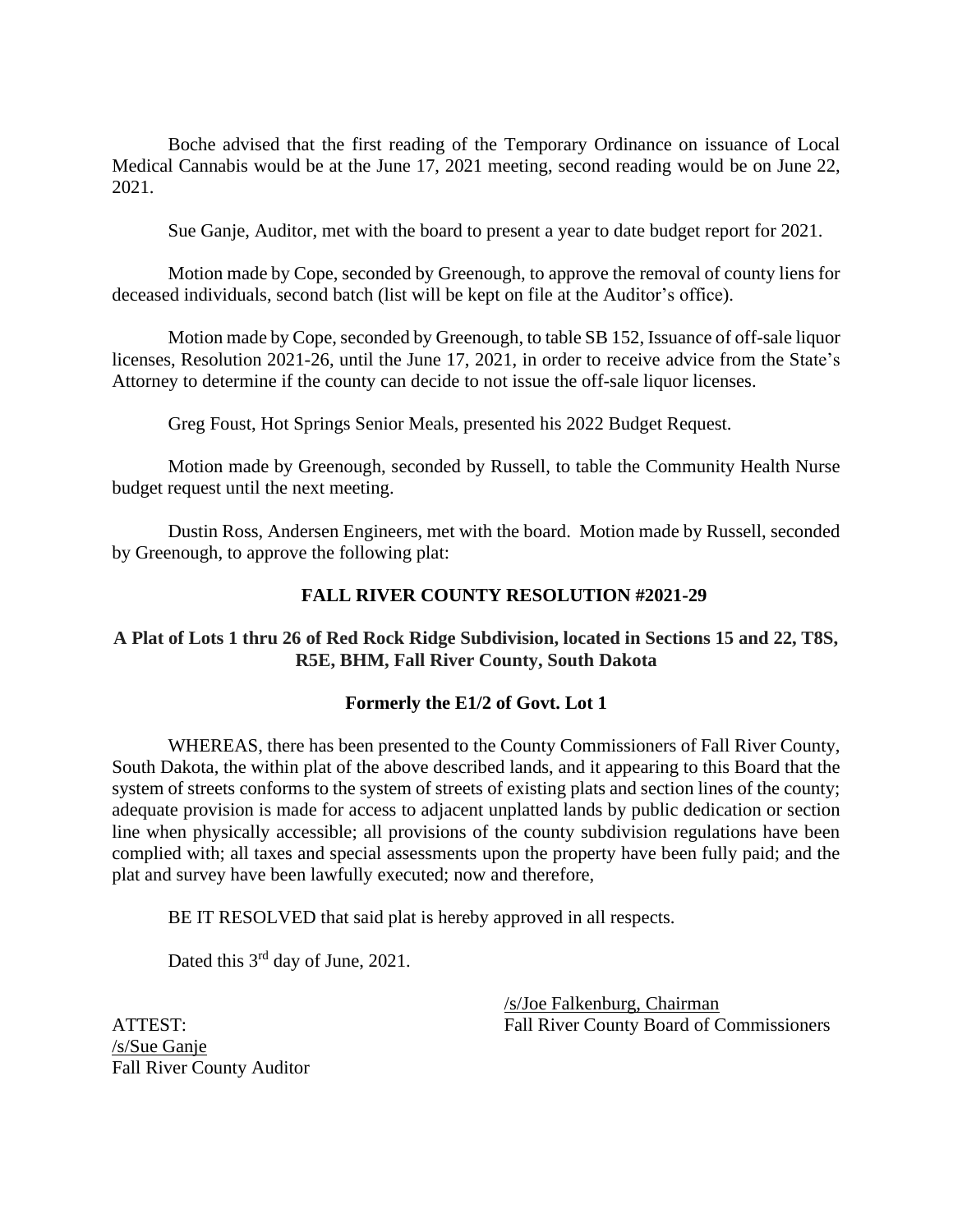Boche advised that the first reading of the Temporary Ordinance on issuance of Local Medical Cannabis would be at the June 17, 2021 meeting, second reading would be on June 22, 2021.

Sue Ganje, Auditor, met with the board to present a year to date budget report for 2021.

Motion made by Cope, seconded by Greenough, to approve the removal of county liens for deceased individuals, second batch (list will be kept on file at the Auditor's office).

Motion made by Cope, seconded by Greenough, to table SB 152, Issuance of off-sale liquor licenses, Resolution 2021-26, until the June 17, 2021, in order to receive advice from the State's Attorney to determine if the county can decide to not issue the off-sale liquor licenses.

Greg Foust, Hot Springs Senior Meals, presented his 2022 Budget Request.

Motion made by Greenough, seconded by Russell, to table the Community Health Nurse budget request until the next meeting.

Dustin Ross, Andersen Engineers, met with the board. Motion made by Russell, seconded by Greenough, to approve the following plat:

# **FALL RIVER COUNTY RESOLUTION #2021-29**

# **A Plat of Lots 1 thru 26 of Red Rock Ridge Subdivision, located in Sections 15 and 22, T8S, R5E, BHM, Fall River County, South Dakota**

# **Formerly the E1/2 of Govt. Lot 1**

WHEREAS, there has been presented to the County Commissioners of Fall River County, South Dakota, the within plat of the above described lands, and it appearing to this Board that the system of streets conforms to the system of streets of existing plats and section lines of the county; adequate provision is made for access to adjacent unplatted lands by public dedication or section line when physically accessible; all provisions of the county subdivision regulations have been complied with; all taxes and special assessments upon the property have been fully paid; and the plat and survey have been lawfully executed; now and therefore,

BE IT RESOLVED that said plat is hereby approved in all respects.

Dated this 3<sup>rd</sup> day of June, 2021.

/s/Sue Ganje Fall River County Auditor

/s/Joe Falkenburg, Chairman ATTEST: Fall River County Board of Commissioners